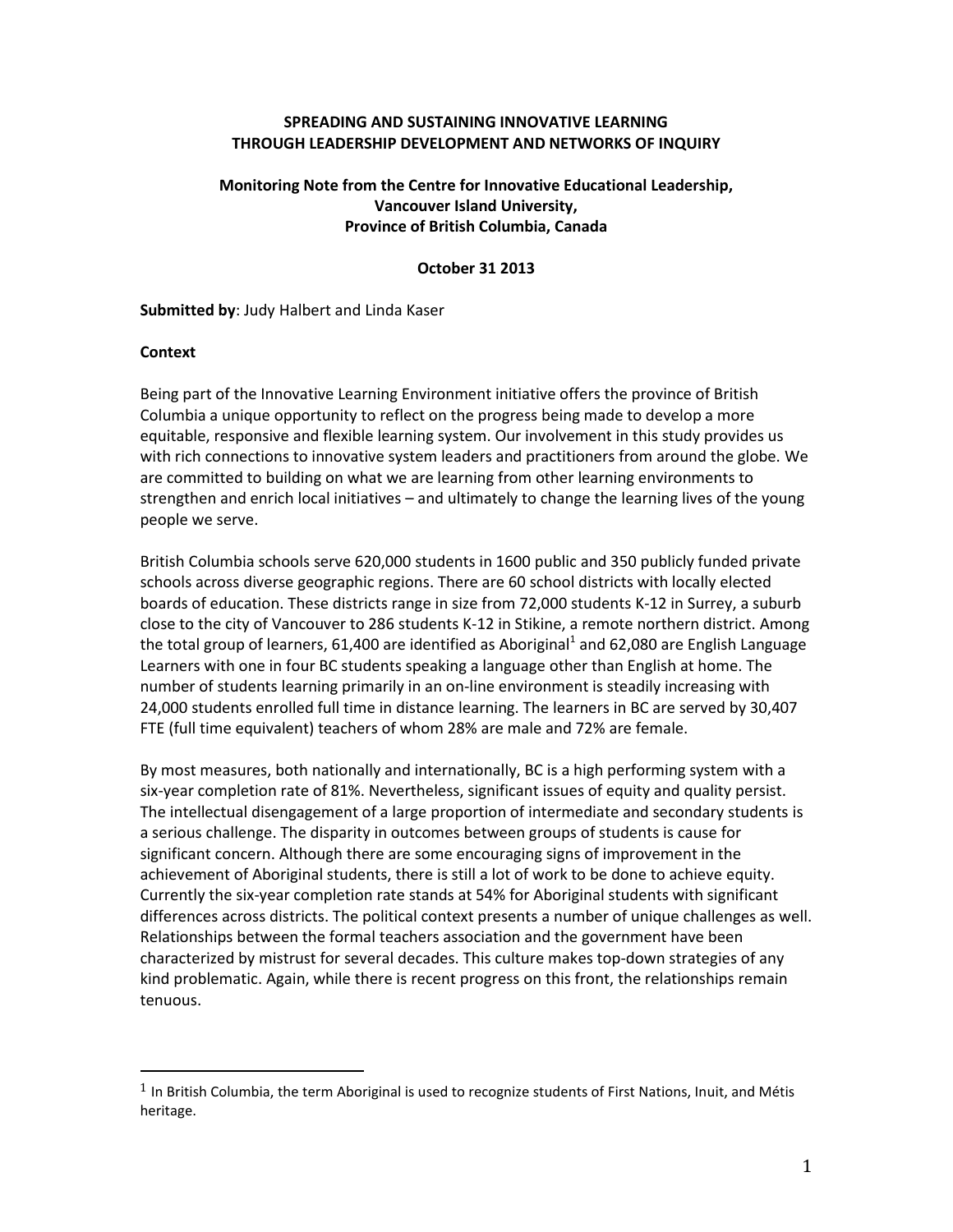#### **SPREADING AND SUSTAINING INNOVATIVE LEARNING THROUGH LEADERSHIP DEVELOPMENT AND NETWORKS OF INQUIRY**

## **Monitoring Note from the Centre for Innovative Educational Leadership, Vancouver Island University, Province of British Columbia, Canada**

#### **October 31 2013**

#### **Submitted by**: Judy Halbert and Linda Kaser

#### **Context**

 $\overline{a}$ 

Being part of the Innovative Learning Environment initiative offers the province of British Columbia a unique opportunity to reflect on the progress being made to develop a more equitable, responsive and flexible learning system. Our involvement in this study provides us with rich connections to innovative system leaders and practitioners from around the globe. We are committed to building on what we are learning from other learning environments to strengthen and enrich local initiatives – and ultimately to change the learning lives of the young people we serve.

British Columbia schools serve 620,000 students in 1600 public and 350 publicly funded private schools across diverse geographic regions. There are 60 school districts with locally elected boards of education. These districts range in size from 72,000 students K-12 in Surrey, a suburb close to the city of Vancouver to 286 students K-12 in Stikine, a remote northern district. Among the total group of learners, 61,400 are identified as Aboriginal<sup>1</sup> and 62,080 are English Language Learners with one in four BC students speaking a language other than English at home. The number of students learning primarily in an on-line environment is steadily increasing with 24,000 students enrolled full time in distance learning. The learners in BC are served by 30,407 FTE (full time equivalent) teachers of whom 28% are male and 72% are female.

By most measures, both nationally and internationally, BC is a high performing system with a six-year completion rate of 81%. Nevertheless, significant issues of equity and quality persist. The intellectual disengagement of a large proportion of intermediate and secondary students is a serious challenge. The disparity in outcomes between groups of students is cause for significant concern. Although there are some encouraging signs of improvement in the achievement of Aboriginal students, there is still a lot of work to be done to achieve equity. Currently the six-year completion rate stands at 54% for Aboriginal students with significant differences across districts. The political context presents a number of unique challenges as well. Relationships between the formal teachers association and the government have been characterized by mistrust for several decades. This culture makes top-down strategies of any kind problematic. Again, while there is recent progress on this front, the relationships remain tenuous.

 $1$  In British Columbia, the term Aboriginal is used to recognize students of First Nations, Inuit, and Métis heritage.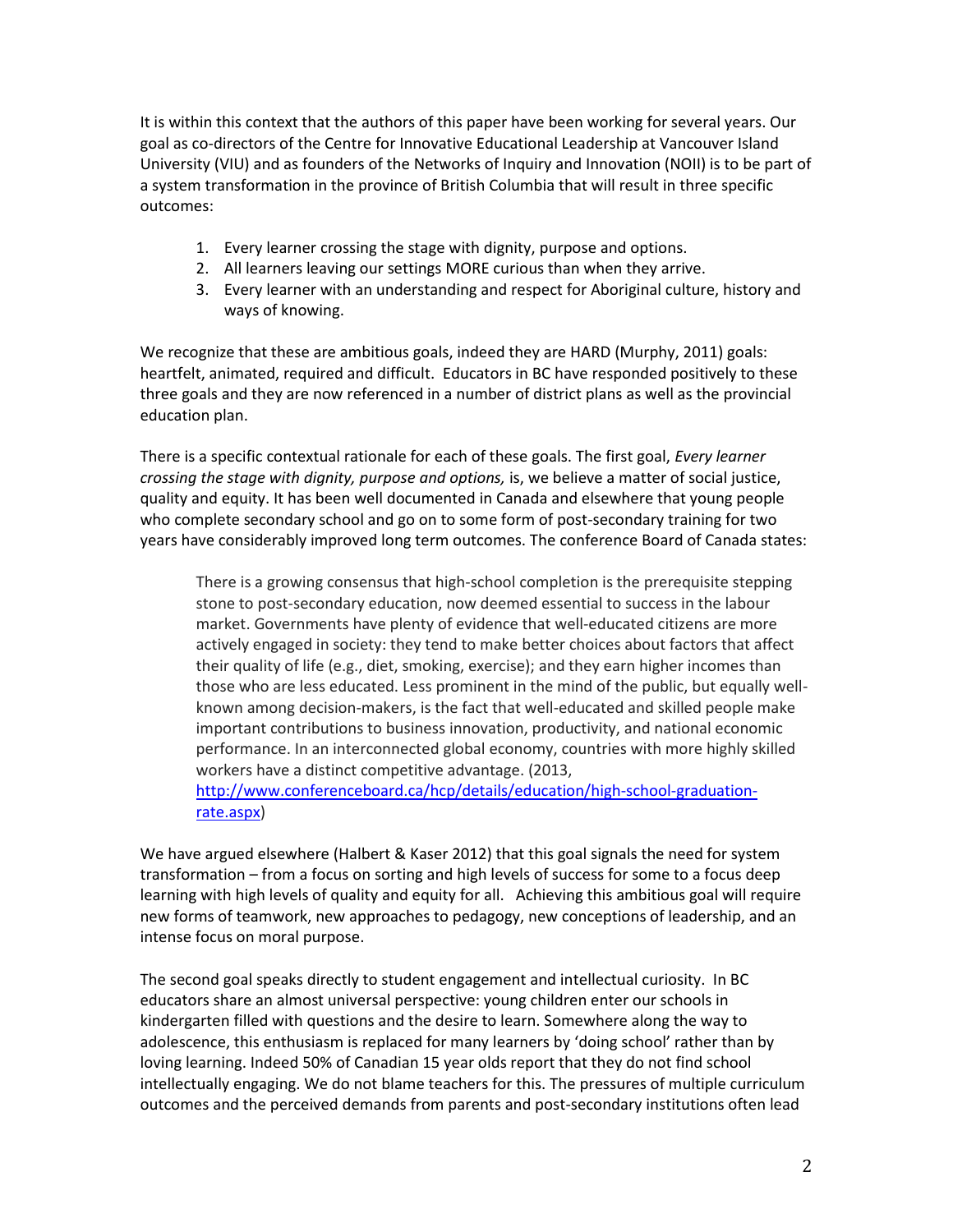It is within this context that the authors of this paper have been working for several years. Our goal as co-directors of the Centre for Innovative Educational Leadership at Vancouver Island University (VIU) and as founders of the Networks of Inquiry and Innovation (NOII) is to be part of a system transformation in the province of British Columbia that will result in three specific outcomes:

- 1. Every learner crossing the stage with dignity, purpose and options.
- 2. All learners leaving our settings MORE curious than when they arrive.
- 3. Every learner with an understanding and respect for Aboriginal culture, history and ways of knowing.

We recognize that these are ambitious goals, indeed they are HARD (Murphy, 2011) goals: heartfelt, animated, required and difficult. Educators in BC have responded positively to these three goals and they are now referenced in a number of district plans as well as the provincial education plan.

There is a specific contextual rationale for each of these goals. The first goal, *Every learner crossing the stage with dignity, purpose and options,* is, we believe a matter of social justice, quality and equity. It has been well documented in Canada and elsewhere that young people who complete secondary school and go on to some form of post-secondary training for two years have considerably improved long term outcomes. The conference Board of Canada states:

There is a growing consensus that high-school completion is the prerequisite stepping stone to post-secondary education, now deemed essential to success in the labour market. Governments have plenty of evidence that well-educated citizens are more actively engaged in society: they tend to make better choices about factors that affect their quality of life (e.g., diet, smoking, exercise); and they earn higher incomes than those who are less educated. Less prominent in the mind of the public, but equally wellknown among decision-makers, is the fact that well-educated and skilled people make important contributions to business innovation, productivity, and national economic performance. In an interconnected global economy, countries with more highly skilled workers have a distinct competitive advantage. (2013, [http://www.conferenceboard.ca/hcp/details/education/high-school-graduation](http://www.conferenceboard.ca/hcp/details/education/high-school-graduation-rate.aspx)[rate.aspx\)](http://www.conferenceboard.ca/hcp/details/education/high-school-graduation-rate.aspx)

We have argued elsewhere (Halbert & Kaser 2012) that this goal signals the need for system transformation – from a focus on sorting and high levels of success for some to a focus deep learning with high levels of quality and equity for all. Achieving this ambitious goal will require new forms of teamwork, new approaches to pedagogy, new conceptions of leadership, and an intense focus on moral purpose.

The second goal speaks directly to student engagement and intellectual curiosity. In BC educators share an almost universal perspective: young children enter our schools in kindergarten filled with questions and the desire to learn. Somewhere along the way to adolescence, this enthusiasm is replaced for many learners by 'doing school' rather than by loving learning. Indeed 50% of Canadian 15 year olds report that they do not find school intellectually engaging. We do not blame teachers for this. The pressures of multiple curriculum outcomes and the perceived demands from parents and post-secondary institutions often lead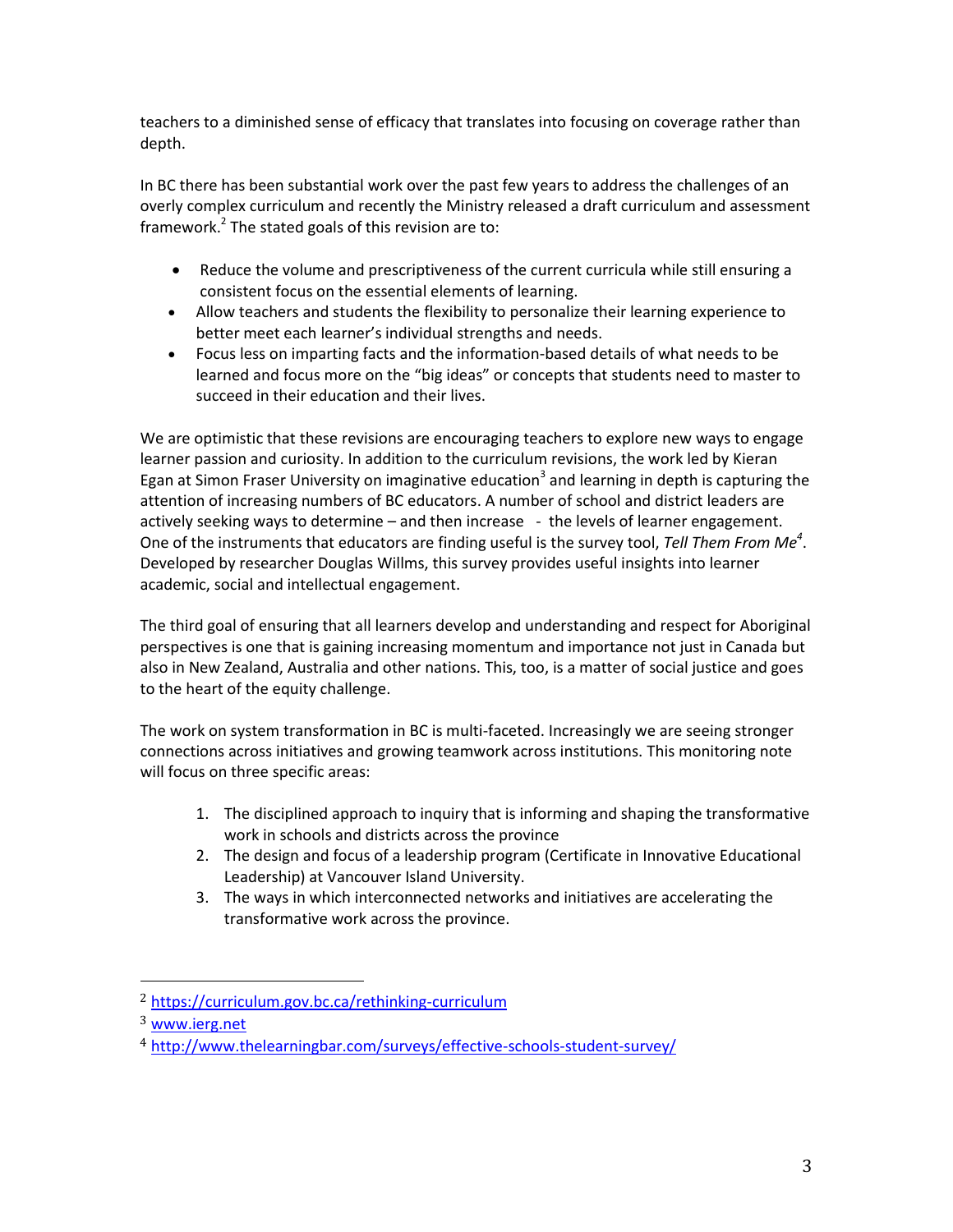teachers to a diminished sense of efficacy that translates into focusing on coverage rather than depth.

In BC there has been substantial work over the past few years to address the challenges of an overly complex curriculum and recently the Ministry released a draft curriculum and assessment framework.<sup>2</sup> The stated goals of this revision are to:

- Reduce the volume and prescriptiveness of the current curricula while still ensuring a consistent focus on the essential elements of learning.
- Allow teachers and students the flexibility to personalize their learning experience to better meet each learner's individual strengths and needs.
- Focus less on imparting facts and the information-based details of what needs to be learned and focus more on the "big ideas" or concepts that students need to master to succeed in their education and their lives.

We are optimistic that these revisions are encouraging teachers to explore new ways to engage learner passion and curiosity. In addition to the curriculum revisions, the work led by Kieran Egan at Simon Fraser University on imaginative education<sup>3</sup> and learning in depth is capturing the attention of increasing numbers of BC educators. A number of school and district leaders are actively seeking ways to determine – and then increase - the levels of learner engagement. One of the instruments that educators are finding useful is the survey tool, *Tell Them From Me<sup>4</sup>* . Developed by researcher Douglas Willms, this survey provides useful insights into learner academic, social and intellectual engagement.

The third goal of ensuring that all learners develop and understanding and respect for Aboriginal perspectives is one that is gaining increasing momentum and importance not just in Canada but also in New Zealand, Australia and other nations. This, too, is a matter of social justice and goes to the heart of the equity challenge.

The work on system transformation in BC is multi-faceted. Increasingly we are seeing stronger connections across initiatives and growing teamwork across institutions. This monitoring note will focus on three specific areas:

- 1. The disciplined approach to inquiry that is informing and shaping the transformative work in schools and districts across the province
- 2. The design and focus of a leadership program (Certificate in Innovative Educational Leadership) at Vancouver Island University.
- 3. The ways in which interconnected networks and initiatives are accelerating the transformative work across the province.

 $\overline{a}$ 

<sup>2</sup> <https://curriculum.gov.bc.ca/rethinking-curriculum>

<sup>3</sup> [www.ierg.net](http://www.ierg.net/)

<sup>4</sup> <http://www.thelearningbar.com/surveys/effective-schools-student-survey/>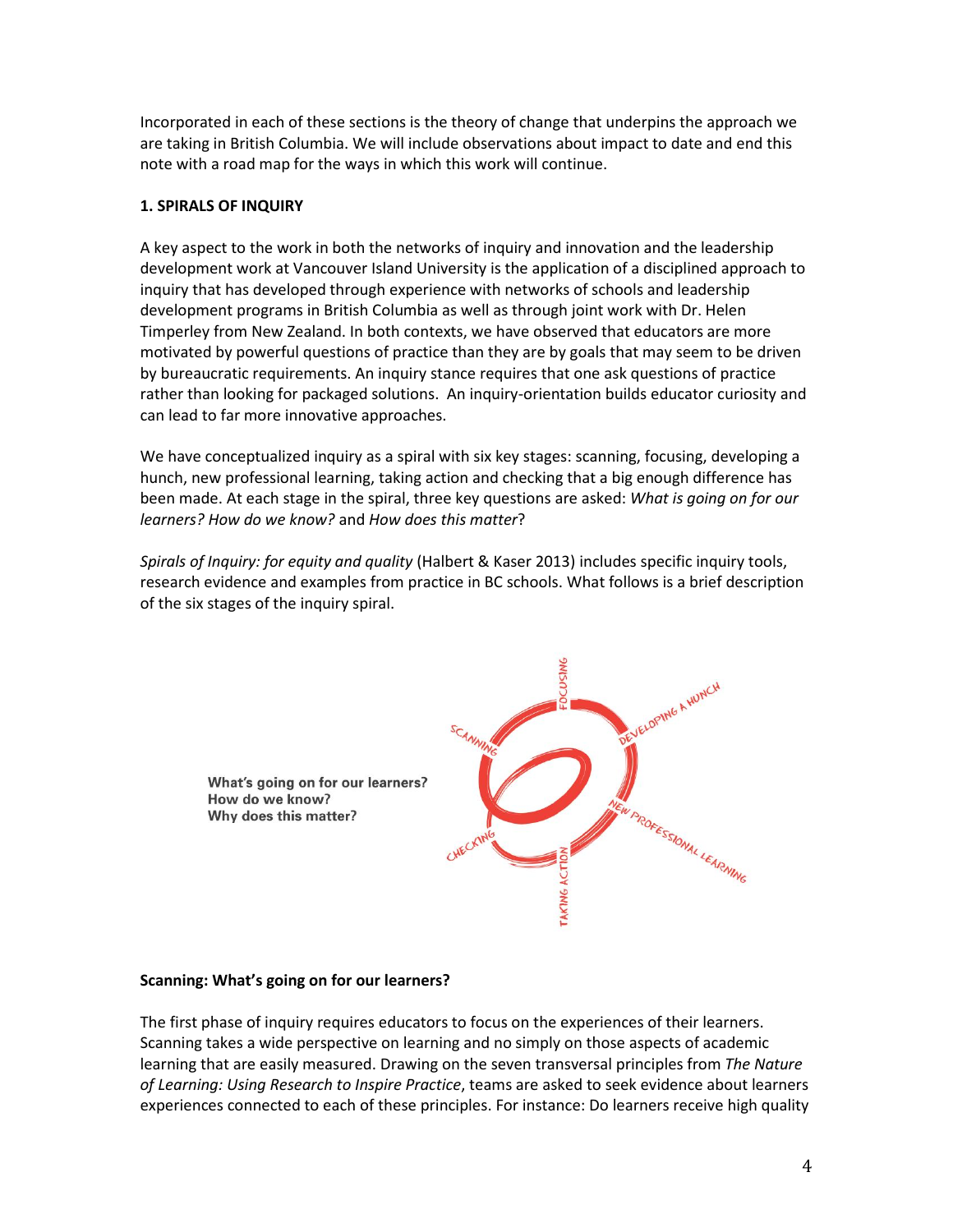Incorporated in each of these sections is the theory of change that underpins the approach we are taking in British Columbia. We will include observations about impact to date and end this note with a road map for the ways in which this work will continue.

# **1. SPIRALS OF INQUIRY**

A key aspect to the work in both the networks of inquiry and innovation and the leadership development work at Vancouver Island University is the application of a disciplined approach to inquiry that has developed through experience with networks of schools and leadership development programs in British Columbia as well as through joint work with Dr. Helen Timperley from New Zealand. In both contexts, we have observed that educators are more motivated by powerful questions of practice than they are by goals that may seem to be driven by bureaucratic requirements. An inquiry stance requires that one ask questions of practice rather than looking for packaged solutions. An inquiry-orientation builds educator curiosity and can lead to far more innovative approaches.

We have conceptualized inquiry as a spiral with six key stages: scanning, focusing, developing a hunch, new professional learning, taking action and checking that a big enough difference has been made. At each stage in the spiral, three key questions are asked: *What is going on for our learners? How do we know?* and *How does this matter*?

*Spirals of Inquiry: for equity and quality* (Halbert & Kaser 2013) includes specific inquiry tools, research evidence and examples from practice in BC schools. What follows is a brief description of the six stages of the inquiry spiral.



## **Scanning: What's going on for our learners?**

The first phase of inquiry requires educators to focus on the experiences of their learners. Scanning takes a wide perspective on learning and no simply on those aspects of academic learning that are easily measured. Drawing on the seven transversal principles from *The Nature of Learning: Using Research to Inspire Practice*, teams are asked to seek evidence about learners experiences connected to each of these principles. For instance: Do learners receive high quality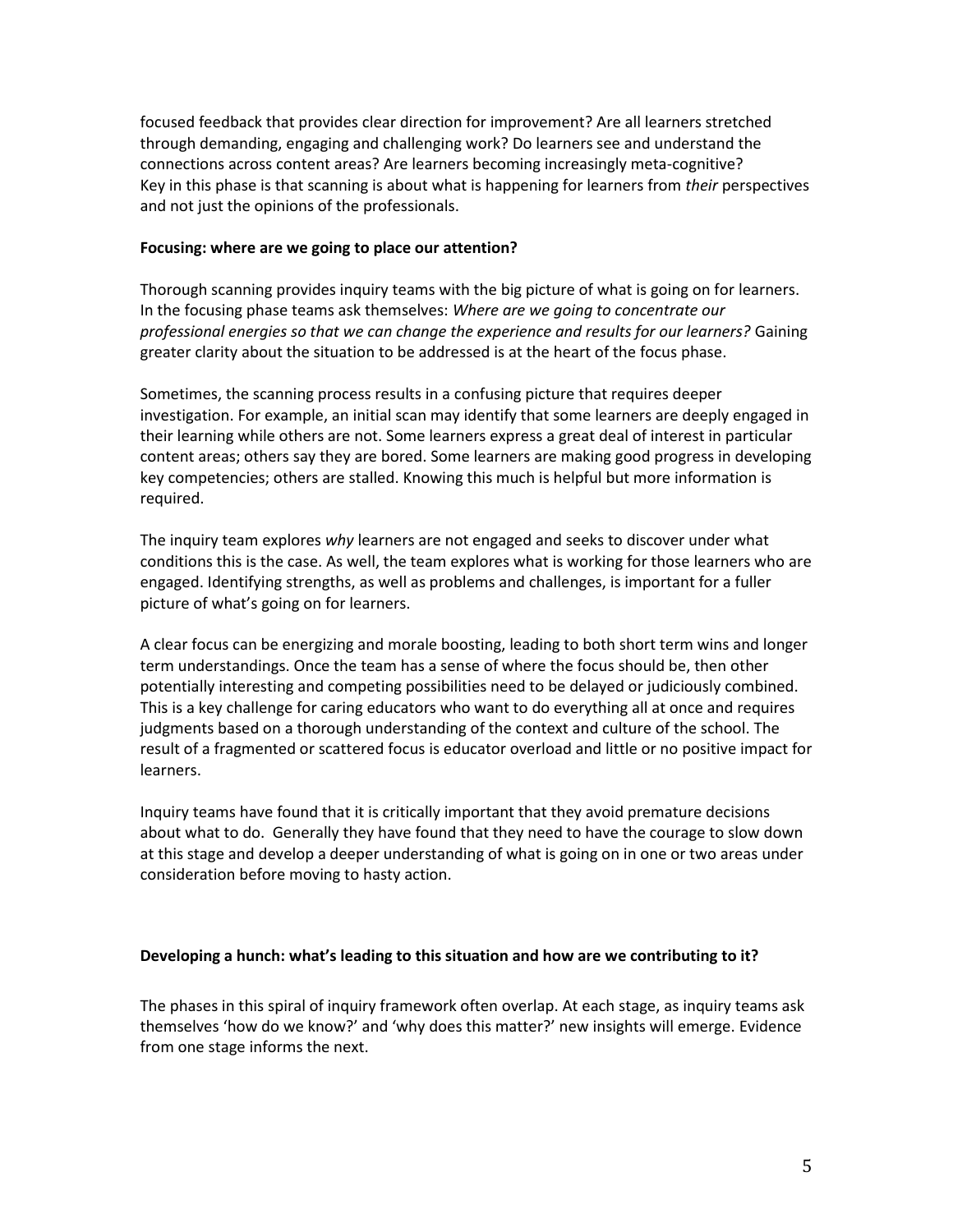focused feedback that provides clear direction for improvement? Are all learners stretched through demanding, engaging and challenging work? Do learners see and understand the connections across content areas? Are learners becoming increasingly meta-cognitive? Key in this phase is that scanning is about what is happening for learners from *their* perspectives and not just the opinions of the professionals.

## **Focusing: where are we going to place our attention?**

Thorough scanning provides inquiry teams with the big picture of what is going on for learners. In the focusing phase teams ask themselves: *Where are we going to concentrate our professional energies so that we can change the experience and results for our learners?* Gaining greater clarity about the situation to be addressed is at the heart of the focus phase.

Sometimes, the scanning process results in a confusing picture that requires deeper investigation. For example, an initial scan may identify that some learners are deeply engaged in their learning while others are not. Some learners express a great deal of interest in particular content areas; others say they are bored. Some learners are making good progress in developing key competencies; others are stalled. Knowing this much is helpful but more information is required.

The inquiry team explores *why* learners are not engaged and seeks to discover under what conditions this is the case. As well, the team explores what is working for those learners who are engaged. Identifying strengths, as well as problems and challenges, is important for a fuller picture of what's going on for learners.

A clear focus can be energizing and morale boosting, leading to both short term wins and longer term understandings. Once the team has a sense of where the focus should be, then other potentially interesting and competing possibilities need to be delayed or judiciously combined. This is a key challenge for caring educators who want to do everything all at once and requires judgments based on a thorough understanding of the context and culture of the school. The result of a fragmented or scattered focus is educator overload and little or no positive impact for learners.

Inquiry teams have found that it is critically important that they avoid premature decisions about what to do. Generally they have found that they need to have the courage to slow down at this stage and develop a deeper understanding of what is going on in one or two areas under consideration before moving to hasty action.

## **Developing a hunch: what's leading to this situation and how are we contributing to it?**

The phases in this spiral of inquiry framework often overlap. At each stage, as inquiry teams ask themselves 'how do we know?' and 'why does this matter?' new insights will emerge. Evidence from one stage informs the next.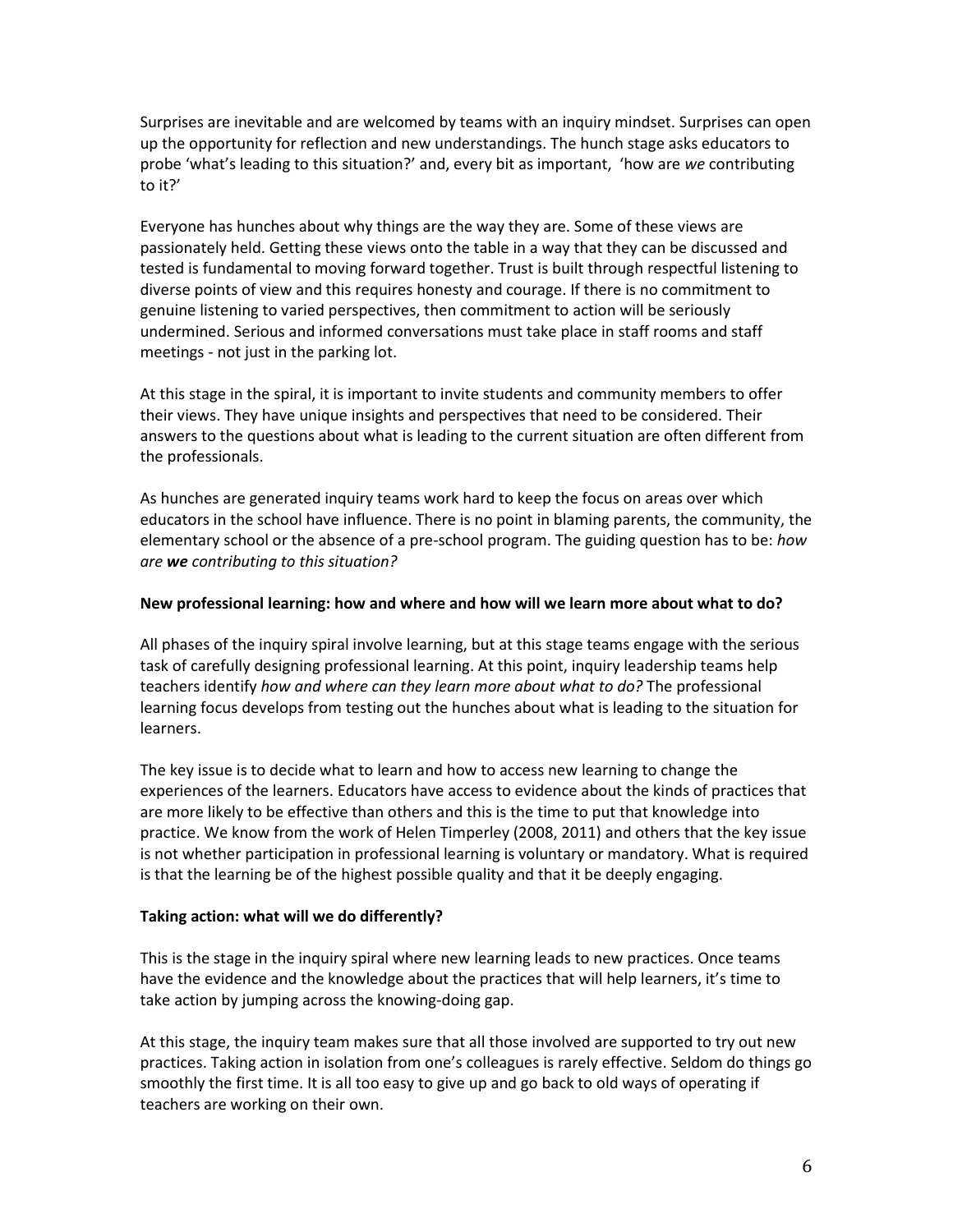Surprises are inevitable and are welcomed by teams with an inquiry mindset. Surprises can open up the opportunity for reflection and new understandings. The hunch stage asks educators to probe 'what's leading to this situation?' and, every bit as important, 'how are *we* contributing to it?'

Everyone has hunches about why things are the way they are. Some of these views are passionately held. Getting these views onto the table in a way that they can be discussed and tested is fundamental to moving forward together. Trust is built through respectful listening to diverse points of view and this requires honesty and courage. If there is no commitment to genuine listening to varied perspectives, then commitment to action will be seriously undermined. Serious and informed conversations must take place in staff rooms and staff meetings - not just in the parking lot.

At this stage in the spiral, it is important to invite students and community members to offer their views. They have unique insights and perspectives that need to be considered. Their answers to the questions about what is leading to the current situation are often different from the professionals.

As hunches are generated inquiry teams work hard to keep the focus on areas over which educators in the school have influence. There is no point in blaming parents, the community, the elementary school or the absence of a pre-school program. The guiding question has to be: *how are we contributing to this situation?* 

## **New professional learning: how and where and how will we learn more about what to do?**

All phases of the inquiry spiral involve learning, but at this stage teams engage with the serious task of carefully designing professional learning. At this point, inquiry leadership teams help teachers identify *how and where can they learn more about what to do?* The professional learning focus develops from testing out the hunches about what is leading to the situation for learners.

The key issue is to decide what to learn and how to access new learning to change the experiences of the learners. Educators have access to evidence about the kinds of practices that are more likely to be effective than others and this is the time to put that knowledge into practice. We know from the work of Helen Timperley (2008, 2011) and others that the key issue is not whether participation in professional learning is voluntary or mandatory. What is required is that the learning be of the highest possible quality and that it be deeply engaging.

# **Taking action: what will we do differently?**

This is the stage in the inquiry spiral where new learning leads to new practices. Once teams have the evidence and the knowledge about the practices that will help learners, it's time to take action by jumping across the knowing-doing gap.

At this stage, the inquiry team makes sure that all those involved are supported to try out new practices. Taking action in isolation from one's colleagues is rarely effective. Seldom do things go smoothly the first time. It is all too easy to give up and go back to old ways of operating if teachers are working on their own.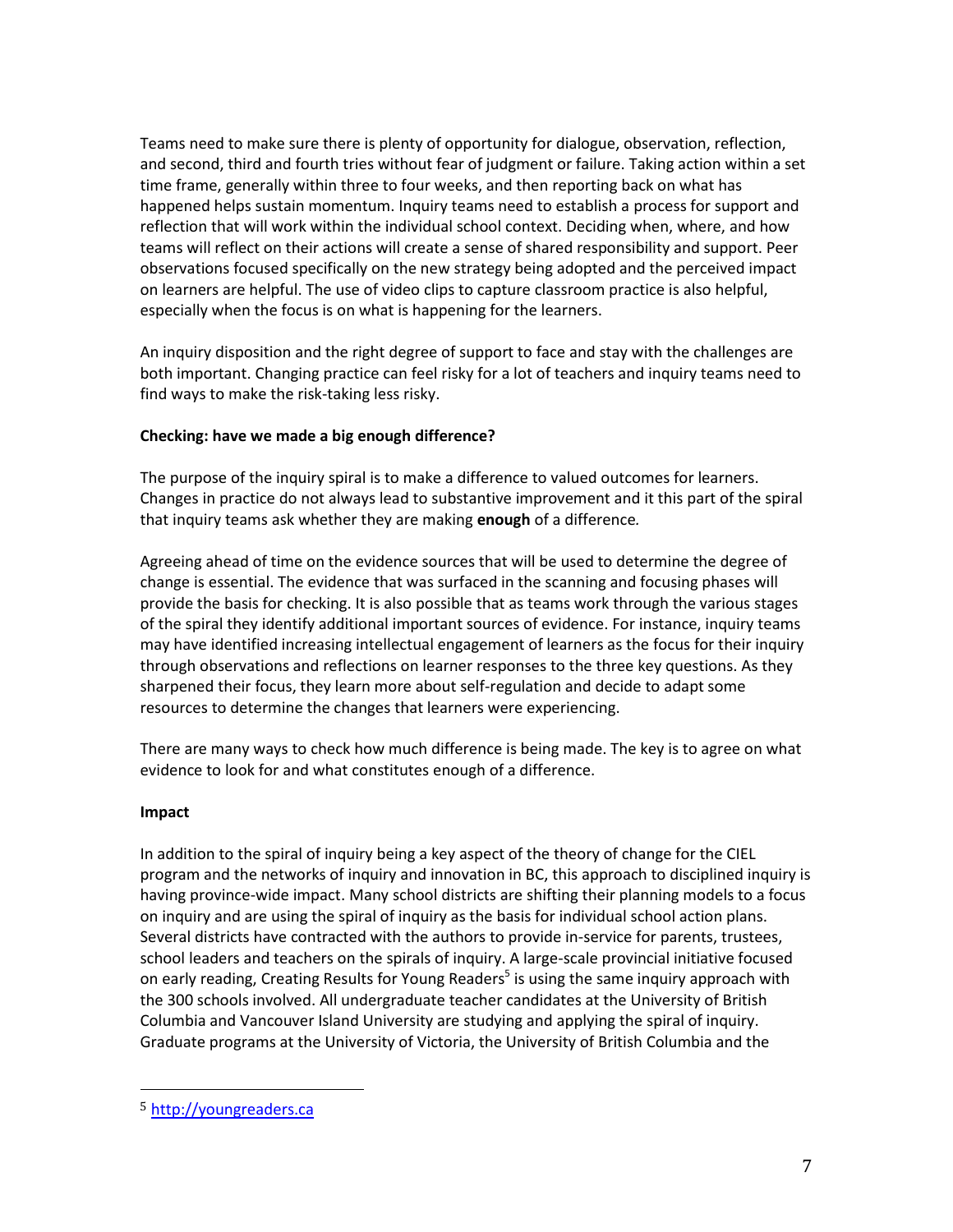Teams need to make sure there is plenty of opportunity for dialogue, observation, reflection, and second, third and fourth tries without fear of judgment or failure. Taking action within a set time frame, generally within three to four weeks, and then reporting back on what has happened helps sustain momentum. Inquiry teams need to establish a process for support and reflection that will work within the individual school context. Deciding when, where, and how teams will reflect on their actions will create a sense of shared responsibility and support. Peer observations focused specifically on the new strategy being adopted and the perceived impact on learners are helpful. The use of video clips to capture classroom practice is also helpful, especially when the focus is on what is happening for the learners.

An inquiry disposition and the right degree of support to face and stay with the challenges are both important. Changing practice can feel risky for a lot of teachers and inquiry teams need to find ways to make the risk-taking less risky.

# **Checking: have we made a big enough difference?**

The purpose of the inquiry spiral is to make a difference to valued outcomes for learners. Changes in practice do not always lead to substantive improvement and it this part of the spiral that inquiry teams ask whether they are making **enough** of a difference*.* 

Agreeing ahead of time on the evidence sources that will be used to determine the degree of change is essential. The evidence that was surfaced in the scanning and focusing phases will provide the basis for checking. It is also possible that as teams work through the various stages of the spiral they identify additional important sources of evidence. For instance, inquiry teams may have identified increasing intellectual engagement of learners as the focus for their inquiry through observations and reflections on learner responses to the three key questions. As they sharpened their focus, they learn more about self-regulation and decide to adapt some resources to determine the changes that learners were experiencing.

There are many ways to check how much difference is being made. The key is to agree on what evidence to look for and what constitutes enough of a difference.

## **Impact**

l

In addition to the spiral of inquiry being a key aspect of the theory of change for the CIEL program and the networks of inquiry and innovation in BC, this approach to disciplined inquiry is having province-wide impact. Many school districts are shifting their planning models to a focus on inquiry and are using the spiral of inquiry as the basis for individual school action plans. Several districts have contracted with the authors to provide in-service for parents, trustees, school leaders and teachers on the spirals of inquiry. A large-scale provincial initiative focused on early reading, Creating Results for Young Readers<sup>5</sup> is using the same inquiry approach with the 300 schools involved. All undergraduate teacher candidates at the University of British Columbia and Vancouver Island University are studying and applying the spiral of inquiry. Graduate programs at the University of Victoria, the University of British Columbia and the

<sup>5</sup> [http://youngreaders.ca](http://youngreaders.ca/)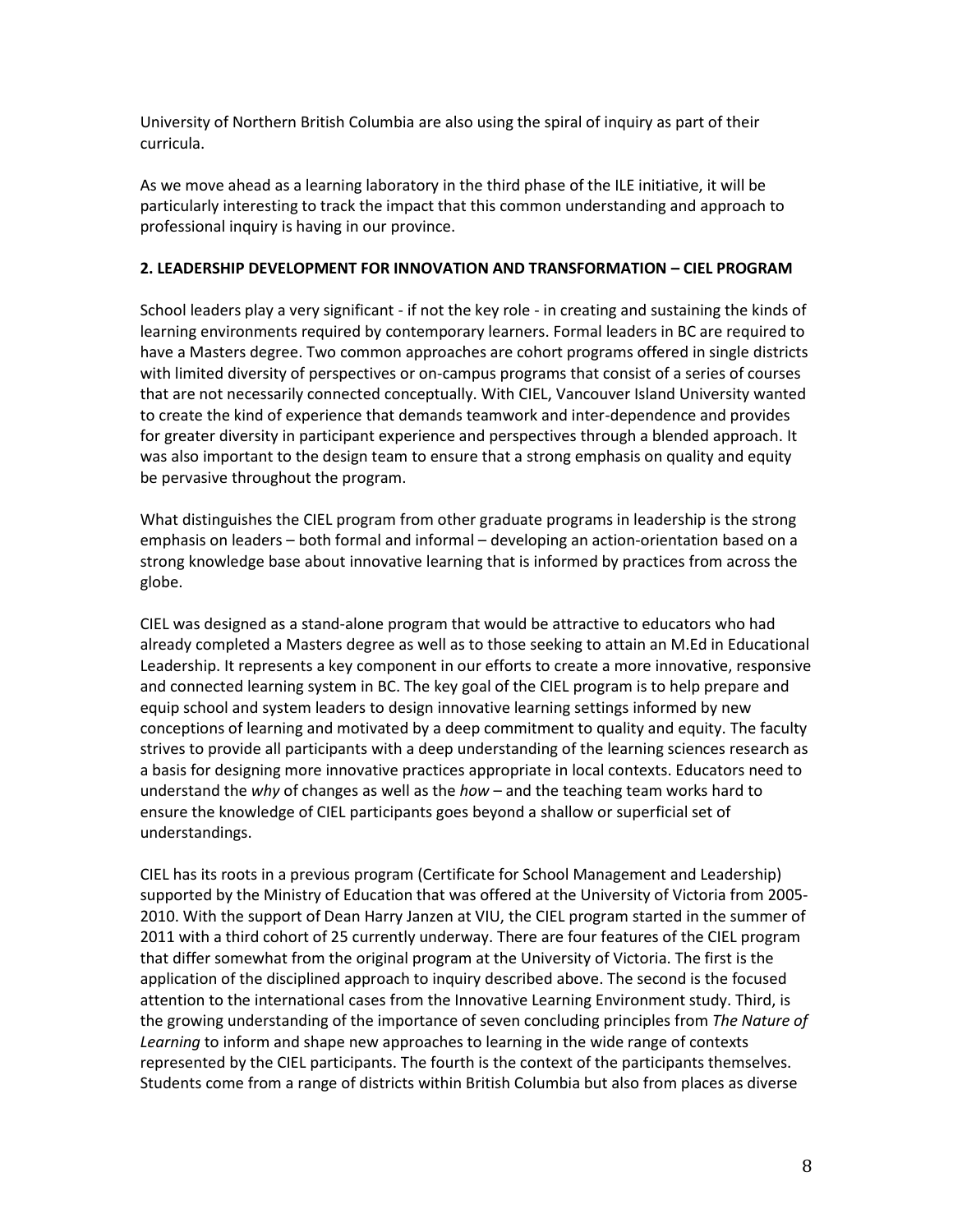University of Northern British Columbia are also using the spiral of inquiry as part of their curricula.

As we move ahead as a learning laboratory in the third phase of the ILE initiative, it will be particularly interesting to track the impact that this common understanding and approach to professional inquiry is having in our province.

## **2. LEADERSHIP DEVELOPMENT FOR INNOVATION AND TRANSFORMATION – CIEL PROGRAM**

School leaders play a very significant - if not the key role - in creating and sustaining the kinds of learning environments required by contemporary learners. Formal leaders in BC are required to have a Masters degree. Two common approaches are cohort programs offered in single districts with limited diversity of perspectives or on-campus programs that consist of a series of courses that are not necessarily connected conceptually. With CIEL, Vancouver Island University wanted to create the kind of experience that demands teamwork and inter-dependence and provides for greater diversity in participant experience and perspectives through a blended approach. It was also important to the design team to ensure that a strong emphasis on quality and equity be pervasive throughout the program.

What distinguishes the CIEL program from other graduate programs in leadership is the strong emphasis on leaders – both formal and informal – developing an action-orientation based on a strong knowledge base about innovative learning that is informed by practices from across the globe.

CIEL was designed as a stand-alone program that would be attractive to educators who had already completed a Masters degree as well as to those seeking to attain an M.Ed in Educational Leadership. It represents a key component in our efforts to create a more innovative, responsive and connected learning system in BC. The key goal of the CIEL program is to help prepare and equip school and system leaders to design innovative learning settings informed by new conceptions of learning and motivated by a deep commitment to quality and equity. The faculty strives to provide all participants with a deep understanding of the learning sciences research as a basis for designing more innovative practices appropriate in local contexts. Educators need to understand the *why* of changes as well as the *how* – and the teaching team works hard to ensure the knowledge of CIEL participants goes beyond a shallow or superficial set of understandings.

CIEL has its roots in a previous program (Certificate for School Management and Leadership) supported by the Ministry of Education that was offered at the University of Victoria from 2005- 2010. With the support of Dean Harry Janzen at VIU, the CIEL program started in the summer of 2011 with a third cohort of 25 currently underway. There are four features of the CIEL program that differ somewhat from the original program at the University of Victoria. The first is the application of the disciplined approach to inquiry described above. The second is the focused attention to the international cases from the Innovative Learning Environment study. Third, is the growing understanding of the importance of seven concluding principles from *The Nature of Learning* to inform and shape new approaches to learning in the wide range of contexts represented by the CIEL participants. The fourth is the context of the participants themselves. Students come from a range of districts within British Columbia but also from places as diverse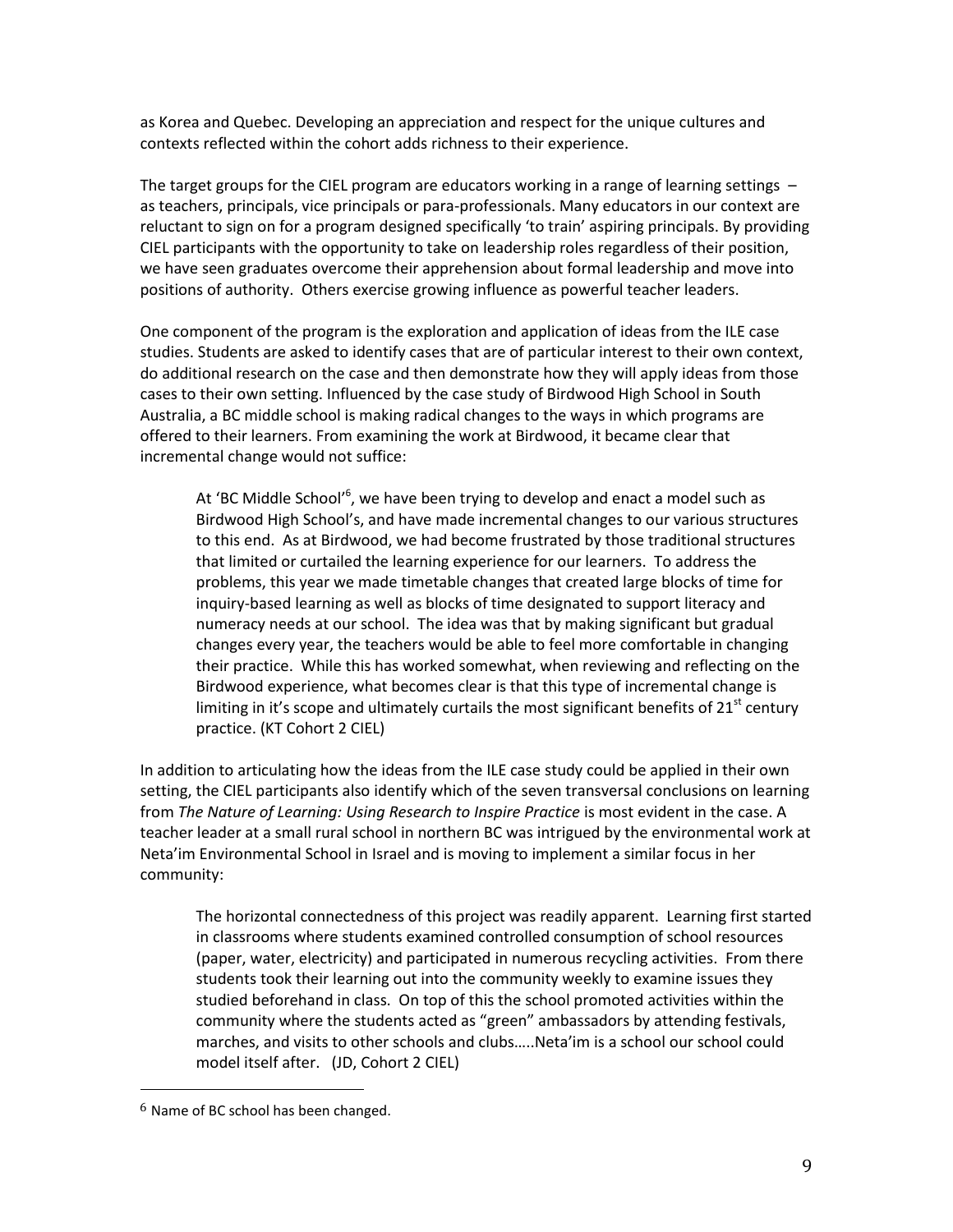as Korea and Quebec. Developing an appreciation and respect for the unique cultures and contexts reflected within the cohort adds richness to their experience.

The target groups for the CIEL program are educators working in a range of learning settings – as teachers, principals, vice principals or para-professionals. Many educators in our context are reluctant to sign on for a program designed specifically 'to train' aspiring principals. By providing CIEL participants with the opportunity to take on leadership roles regardless of their position, we have seen graduates overcome their apprehension about formal leadership and move into positions of authority. Others exercise growing influence as powerful teacher leaders.

One component of the program is the exploration and application of ideas from the ILE case studies. Students are asked to identify cases that are of particular interest to their own context, do additional research on the case and then demonstrate how they will apply ideas from those cases to their own setting. Influenced by the case study of Birdwood High School in South Australia, a BC middle school is making radical changes to the ways in which programs are offered to their learners. From examining the work at Birdwood, it became clear that incremental change would not suffice:

At 'BC Middle School'<sup>6</sup>, we have been trying to develop and enact a model such as Birdwood High School's, and have made incremental changes to our various structures to this end. As at Birdwood, we had become frustrated by those traditional structures that limited or curtailed the learning experience for our learners. To address the problems, this year we made timetable changes that created large blocks of time for inquiry-based learning as well as blocks of time designated to support literacy and numeracy needs at our school. The idea was that by making significant but gradual changes every year, the teachers would be able to feel more comfortable in changing their practice. While this has worked somewhat, when reviewing and reflecting on the Birdwood experience, what becomes clear is that this type of incremental change is limiting in it's scope and ultimately curtails the most significant benefits of  $21<sup>st</sup>$  century practice. (KT Cohort 2 CIEL)

In addition to articulating how the ideas from the ILE case study could be applied in their own setting, the CIEL participants also identify which of the seven transversal conclusions on learning from *The Nature of Learning: Using Research to Inspire Practice* is most evident in the case. A teacher leader at a small rural school in northern BC was intrigued by the environmental work at Neta'im Environmental School in Israel and is moving to implement a similar focus in her community:

The horizontal connectedness of this project was readily apparent. Learning first started in classrooms where students examined controlled consumption of school resources (paper, water, electricity) and participated in numerous recycling activities. From there students took their learning out into the community weekly to examine issues they studied beforehand in class. On top of this the school promoted activities within the community where the students acted as "green" ambassadors by attending festivals, marches, and visits to other schools and clubs…..Neta'im is a school our school could model itself after. (JD, Cohort 2 CIEL)

 $\overline{a}$ 

 $6$  Name of BC school has been changed.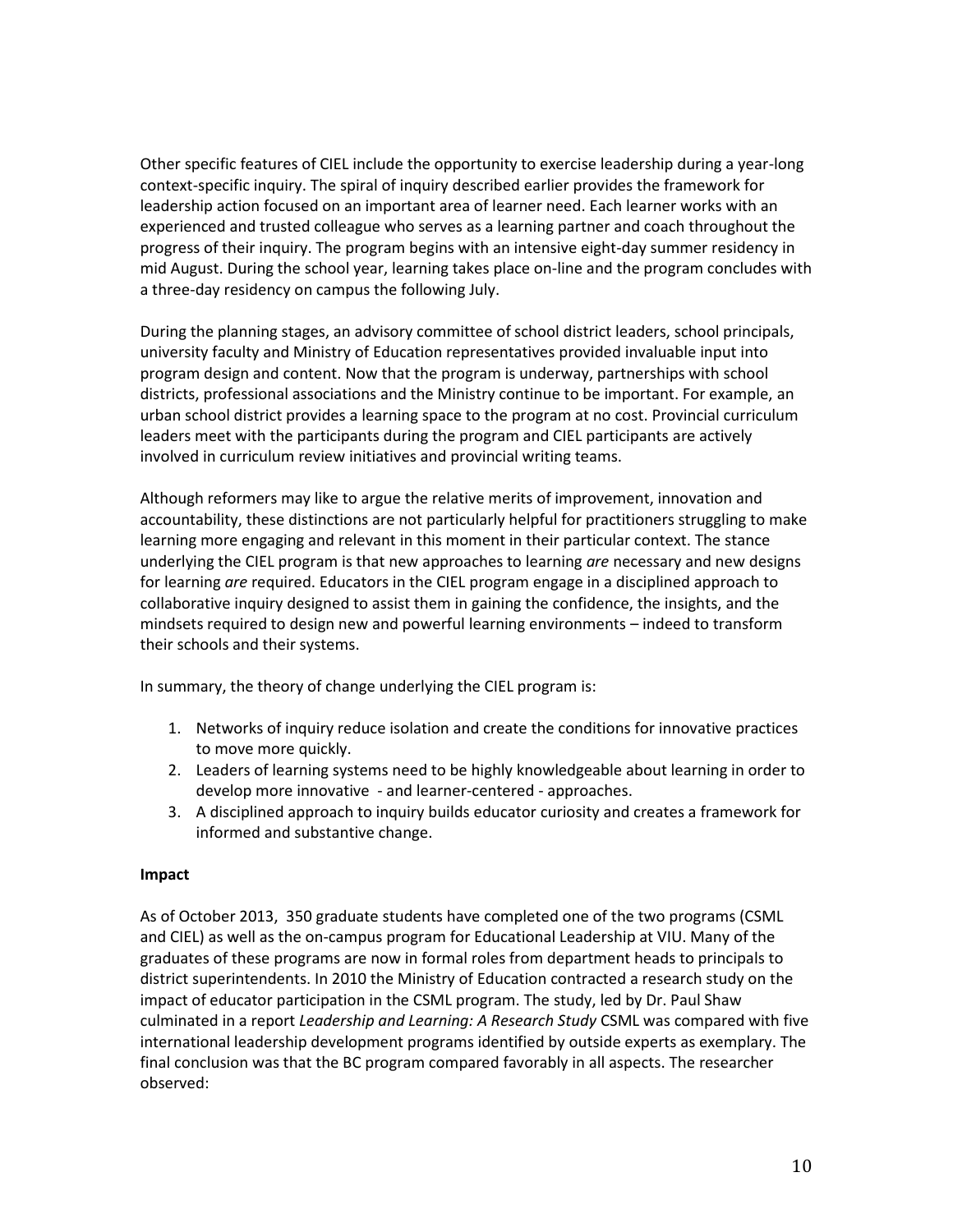Other specific features of CIEL include the opportunity to exercise leadership during a year-long context-specific inquiry. The spiral of inquiry described earlier provides the framework for leadership action focused on an important area of learner need. Each learner works with an experienced and trusted colleague who serves as a learning partner and coach throughout the progress of their inquiry. The program begins with an intensive eight-day summer residency in mid August. During the school year, learning takes place on-line and the program concludes with a three-day residency on campus the following July.

During the planning stages, an advisory committee of school district leaders, school principals, university faculty and Ministry of Education representatives provided invaluable input into program design and content. Now that the program is underway, partnerships with school districts, professional associations and the Ministry continue to be important. For example, an urban school district provides a learning space to the program at no cost. Provincial curriculum leaders meet with the participants during the program and CIEL participants are actively involved in curriculum review initiatives and provincial writing teams.

Although reformers may like to argue the relative merits of improvement, innovation and accountability, these distinctions are not particularly helpful for practitioners struggling to make learning more engaging and relevant in this moment in their particular context. The stance underlying the CIEL program is that new approaches to learning *are* necessary and new designs for learning *are* required. Educators in the CIEL program engage in a disciplined approach to collaborative inquiry designed to assist them in gaining the confidence, the insights, and the mindsets required to design new and powerful learning environments – indeed to transform their schools and their systems.

In summary, the theory of change underlying the CIEL program is:

- 1. Networks of inquiry reduce isolation and create the conditions for innovative practices to move more quickly.
- 2. Leaders of learning systems need to be highly knowledgeable about learning in order to develop more innovative - and learner-centered - approaches.
- 3. A disciplined approach to inquiry builds educator curiosity and creates a framework for informed and substantive change.

## **Impact**

As of October 2013, 350 graduate students have completed one of the two programs (CSML and CIEL) as well as the on-campus program for Educational Leadership at VIU. Many of the graduates of these programs are now in formal roles from department heads to principals to district superintendents. In 2010 the Ministry of Education contracted a research study on the impact of educator participation in the CSML program. The study, led by Dr. Paul Shaw culminated in a report *Leadership and Learning: A Research Study* CSML was compared with five international leadership development programs identified by outside experts as exemplary. The final conclusion was that the BC program compared favorably in all aspects. The researcher observed: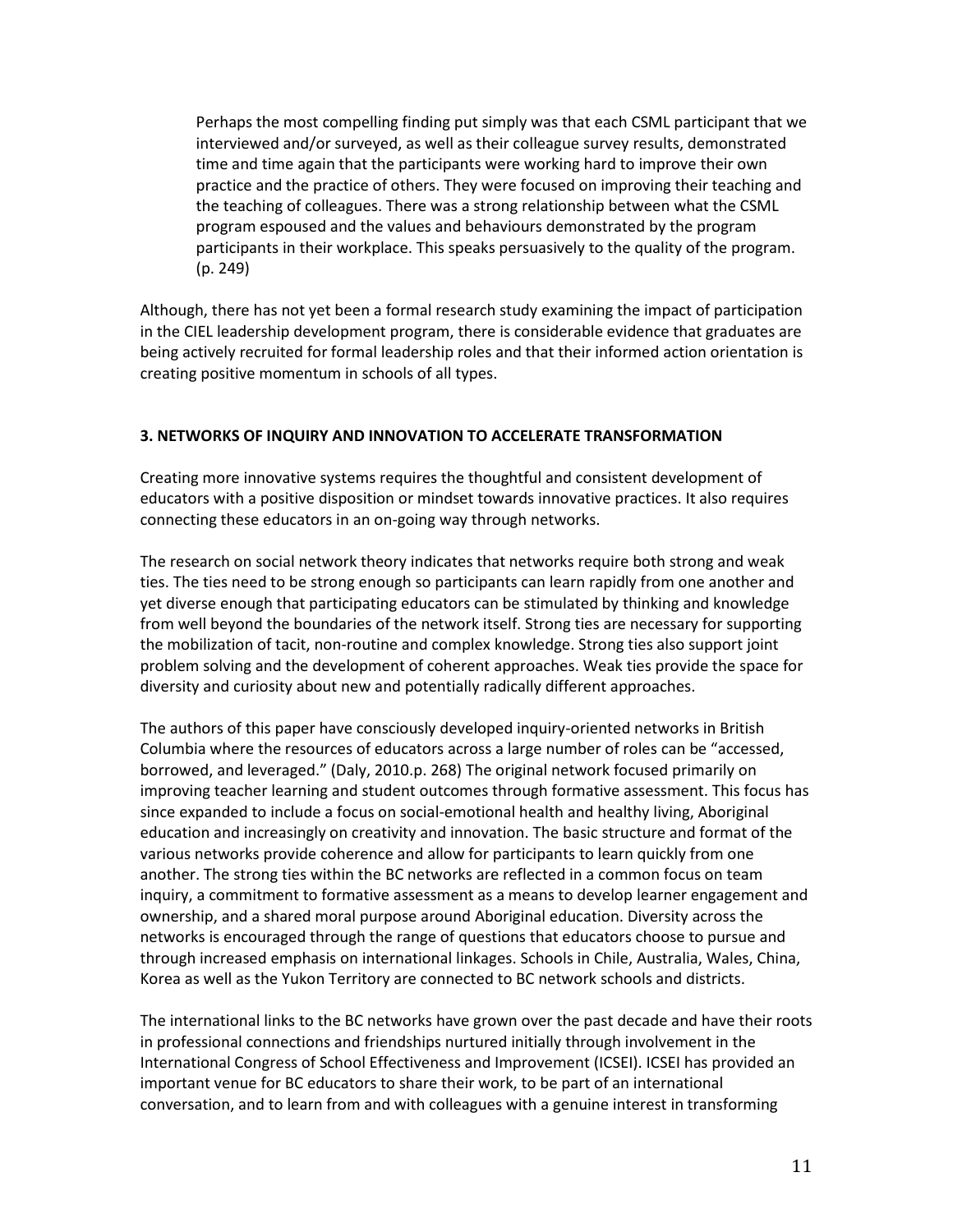Perhaps the most compelling finding put simply was that each CSML participant that we interviewed and/or surveyed, as well as their colleague survey results, demonstrated time and time again that the participants were working hard to improve their own practice and the practice of others. They were focused on improving their teaching and the teaching of colleagues. There was a strong relationship between what the CSML program espoused and the values and behaviours demonstrated by the program participants in their workplace. This speaks persuasively to the quality of the program. (p. 249)

Although, there has not yet been a formal research study examining the impact of participation in the CIEL leadership development program, there is considerable evidence that graduates are being actively recruited for formal leadership roles and that their informed action orientation is creating positive momentum in schools of all types.

# **3. NETWORKS OF INQUIRY AND INNOVATION TO ACCELERATE TRANSFORMATION**

Creating more innovative systems requires the thoughtful and consistent development of educators with a positive disposition or mindset towards innovative practices. It also requires connecting these educators in an on-going way through networks.

The research on social network theory indicates that networks require both strong and weak ties. The ties need to be strong enough so participants can learn rapidly from one another and yet diverse enough that participating educators can be stimulated by thinking and knowledge from well beyond the boundaries of the network itself. Strong ties are necessary for supporting the mobilization of tacit, non-routine and complex knowledge. Strong ties also support joint problem solving and the development of coherent approaches. Weak ties provide the space for diversity and curiosity about new and potentially radically different approaches.

The authors of this paper have consciously developed inquiry-oriented networks in British Columbia where the resources of educators across a large number of roles can be "accessed, borrowed, and leveraged." (Daly, 2010.p. 268) The original network focused primarily on improving teacher learning and student outcomes through formative assessment. This focus has since expanded to include a focus on social-emotional health and healthy living, Aboriginal education and increasingly on creativity and innovation. The basic structure and format of the various networks provide coherence and allow for participants to learn quickly from one another. The strong ties within the BC networks are reflected in a common focus on team inquiry, a commitment to formative assessment as a means to develop learner engagement and ownership, and a shared moral purpose around Aboriginal education. Diversity across the networks is encouraged through the range of questions that educators choose to pursue and through increased emphasis on international linkages. Schools in Chile, Australia, Wales, China, Korea as well as the Yukon Territory are connected to BC network schools and districts.

The international links to the BC networks have grown over the past decade and have their roots in professional connections and friendships nurtured initially through involvement in the International Congress of School Effectiveness and Improvement (ICSEI). ICSEI has provided an important venue for BC educators to share their work, to be part of an international conversation, and to learn from and with colleagues with a genuine interest in transforming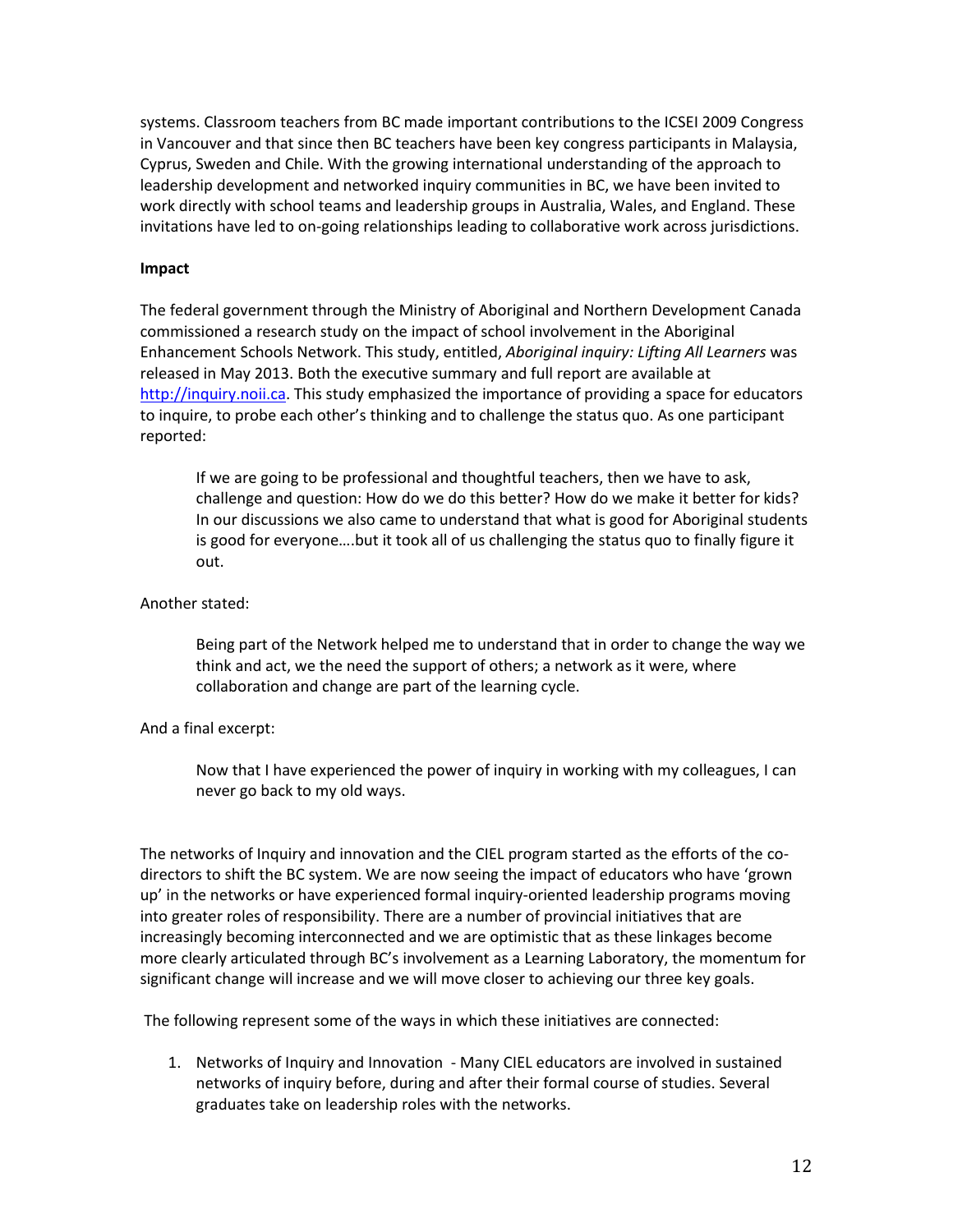systems. Classroom teachers from BC made important contributions to the ICSEI 2009 Congress in Vancouver and that since then BC teachers have been key congress participants in Malaysia, Cyprus, Sweden and Chile. With the growing international understanding of the approach to leadership development and networked inquiry communities in BC, we have been invited to work directly with school teams and leadership groups in Australia, Wales, and England. These invitations have led to on-going relationships leading to collaborative work across jurisdictions.

#### **Impact**

The federal government through the Ministry of Aboriginal and Northern Development Canada commissioned a research study on the impact of school involvement in the Aboriginal Enhancement Schools Network. This study, entitled, *Aboriginal inquiry: Lifting All Learners* was released in May 2013. Both the executive summary and full report are available at [http://inquiry.noii.ca.](http://inquiry.noii.ca/) This study emphasized the importance of providing a space for educators to inquire, to probe each other's thinking and to challenge the status quo. As one participant reported:

If we are going to be professional and thoughtful teachers, then we have to ask, challenge and question: How do we do this better? How do we make it better for kids? In our discussions we also came to understand that what is good for Aboriginal students is good for everyone….but it took all of us challenging the status quo to finally figure it out.

#### Another stated:

Being part of the Network helped me to understand that in order to change the way we think and act, we the need the support of others; a network as it were, where collaboration and change are part of the learning cycle.

## And a final excerpt:

Now that I have experienced the power of inquiry in working with my colleagues, I can never go back to my old ways.

The networks of Inquiry and innovation and the CIEL program started as the efforts of the codirectors to shift the BC system. We are now seeing the impact of educators who have 'grown up' in the networks or have experienced formal inquiry-oriented leadership programs moving into greater roles of responsibility. There are a number of provincial initiatives that are increasingly becoming interconnected and we are optimistic that as these linkages become more clearly articulated through BC's involvement as a Learning Laboratory, the momentum for significant change will increase and we will move closer to achieving our three key goals.

The following represent some of the ways in which these initiatives are connected:

1. Networks of Inquiry and Innovation - Many CIEL educators are involved in sustained networks of inquiry before, during and after their formal course of studies. Several graduates take on leadership roles with the networks.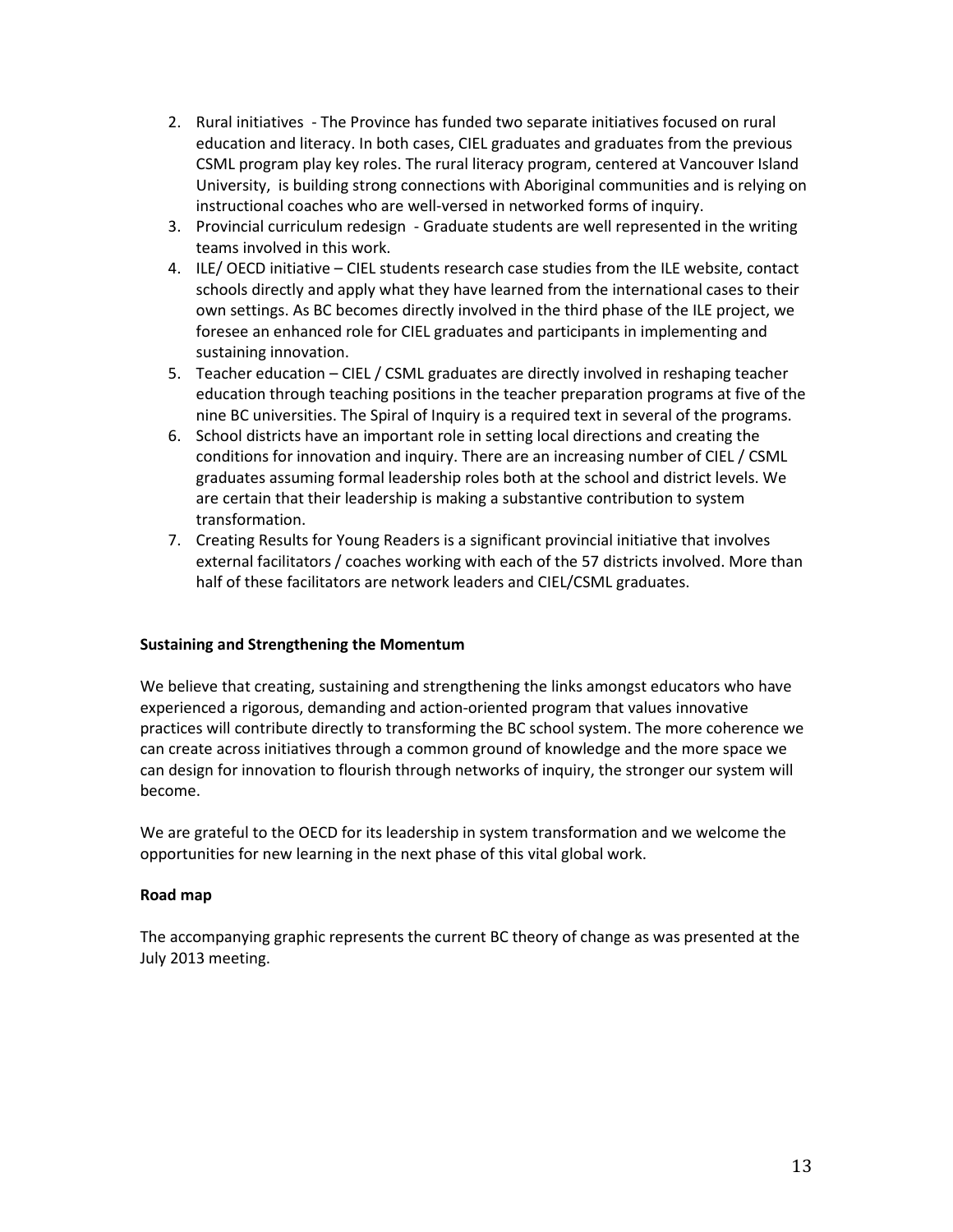- 2. Rural initiatives The Province has funded two separate initiatives focused on rural education and literacy. In both cases, CIEL graduates and graduates from the previous CSML program play key roles. The rural literacy program, centered at Vancouver Island University, is building strong connections with Aboriginal communities and is relying on instructional coaches who are well-versed in networked forms of inquiry.
- 3. Provincial curriculum redesign Graduate students are well represented in the writing teams involved in this work.
- 4. ILE/ OECD initiative CIEL students research case studies from the ILE website, contact schools directly and apply what they have learned from the international cases to their own settings. As BC becomes directly involved in the third phase of the ILE project, we foresee an enhanced role for CIEL graduates and participants in implementing and sustaining innovation.
- 5. Teacher education CIEL / CSML graduates are directly involved in reshaping teacher education through teaching positions in the teacher preparation programs at five of the nine BC universities. The Spiral of Inquiry is a required text in several of the programs.
- 6. School districts have an important role in setting local directions and creating the conditions for innovation and inquiry. There are an increasing number of CIEL / CSML graduates assuming formal leadership roles both at the school and district levels. We are certain that their leadership is making a substantive contribution to system transformation.
- 7. Creating Results for Young Readers is a significant provincial initiative that involves external facilitators / coaches working with each of the 57 districts involved. More than half of these facilitators are network leaders and CIEL/CSML graduates.

## **Sustaining and Strengthening the Momentum**

We believe that creating, sustaining and strengthening the links amongst educators who have experienced a rigorous, demanding and action-oriented program that values innovative practices will contribute directly to transforming the BC school system. The more coherence we can create across initiatives through a common ground of knowledge and the more space we can design for innovation to flourish through networks of inquiry, the stronger our system will become.

We are grateful to the OECD for its leadership in system transformation and we welcome the opportunities for new learning in the next phase of this vital global work.

## **Road map**

The accompanying graphic represents the current BC theory of change as was presented at the July 2013 meeting.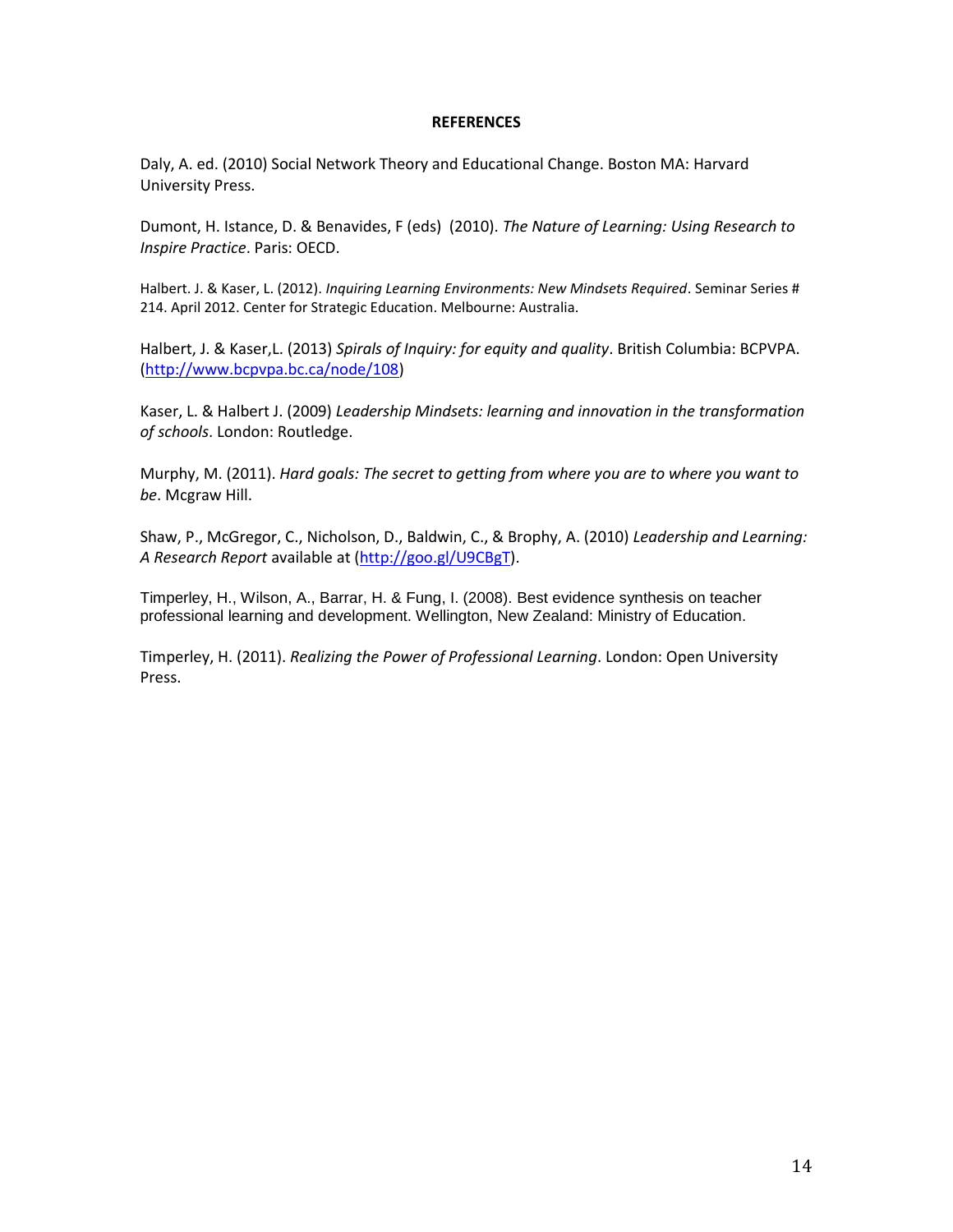#### **REFERENCES**

Daly, A. ed. (2010) Social Network Theory and Educational Change. Boston MA: Harvard University Press.

Dumont, H. Istance, D. & Benavides, F (eds) (2010). *The Nature of Learning: Using Research to Inspire Practice*. Paris: OECD.

Halbert. J. & Kaser, L. (2012). *Inquiring Learning Environments: New Mindsets Required*. Seminar Series # 214. April 2012. Center for Strategic Education. Melbourne: Australia.

Halbert, J. & Kaser,L. (2013) *Spirals of Inquiry: for equity and quality*. British Columbia: BCPVPA. [\(http://www.bcpvpa.bc.ca/node/108\)](http://www.bcpvpa.bc.ca/node/108)

Kaser, L. & Halbert J. (2009) *Leadership Mindsets: learning and innovation in the transformation of schools*. London: Routledge.

Murphy, M. (2011). *Hard goals: The secret to getting from where you are to where you want to be*. Mcgraw Hill.

Shaw, P., McGregor, C., Nicholson, D., Baldwin, C., & Brophy, A. (2010) *Leadership and Learning: A Research Report* available at [\(http://goo.gl/U9CBgT\)](http://goo.gl/U9CBgT).

Timperley, H., Wilson, A., Barrar, H. & Fung, I. (2008). Best evidence synthesis on teacher professional learning and development. Wellington, New Zealand: Ministry of Education.

Timperley, H. (2011). *Realizing the Power of Professional Learning*. London: Open University Press.